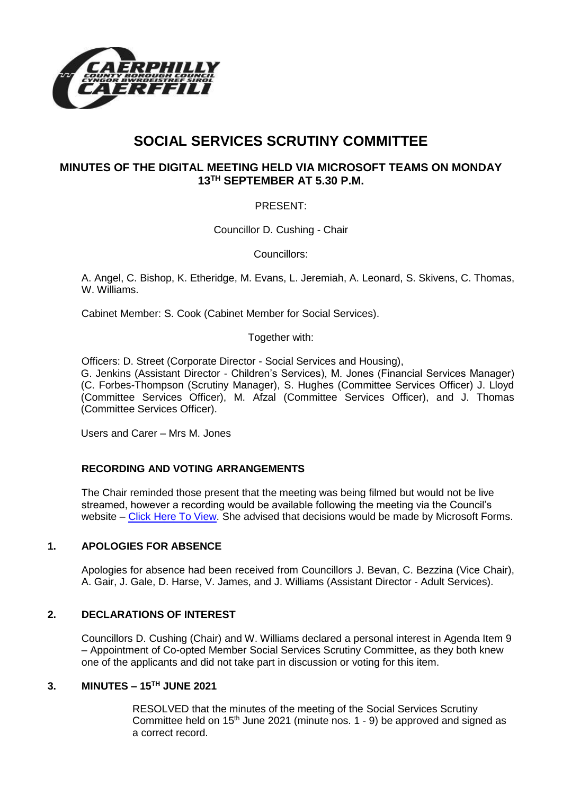

# **SOCIAL SERVICES SCRUTINY COMMITTEE**

## **MINUTES OF THE DIGITAL MEETING HELD VIA MICROSOFT TEAMS ON MONDAY 13TH SEPTEMBER AT 5.30 P.M.**

### PRESENT:

Councillor D. Cushing - Chair

Councillors:

A. Angel, C. Bishop, K. Etheridge, M. Evans, L. Jeremiah, A. Leonard, S. Skivens, C. Thomas, W. Williams.

Cabinet Member: S. Cook (Cabinet Member for Social Services).

Together with:

Officers: D. Street (Corporate Director - Social Services and Housing), G. Jenkins (Assistant Director - Children's Services), M. Jones (Financial Services Manager) (C. Forbes-Thompson (Scrutiny Manager), S. Hughes (Committee Services Officer) J. Lloyd (Committee Services Officer), M. Afzal (Committee Services Officer), and J. Thomas (Committee Services Officer).

Users and Carer – Mrs M. Jones

#### **RECORDING AND VOTING ARRANGEMENTS**

The Chair reminded those present that the meeting was being filmed but would not be live streamed, however a recording would be available following the meeting via the Council's website – [Click Here To View.](https://www.caerphilly.gov.uk/My-Council/Meetings,-agendas,-minutes-and-reports/Council-meetings) She advised that decisions would be made by Microsoft Forms.

#### **1. APOLOGIES FOR ABSENCE**

Apologies for absence had been received from Councillors J. Bevan, C. Bezzina (Vice Chair), A. Gair, J. Gale, D. Harse, V. James, and J. Williams (Assistant Director - Adult Services).

#### **2. DECLARATIONS OF INTEREST**

Councillors D. Cushing (Chair) and W. Williams declared a personal interest in Agenda Item 9 – Appointment of Co-opted Member Social Services Scrutiny Committee, as they both knew one of the applicants and did not take part in discussion or voting for this item.

#### **3. MINUTES – 15TH JUNE 2021**

RESOLVED that the minutes of the meeting of the Social Services Scrutiny Committee held on  $15<sup>th</sup>$  June 2021 (minute nos. 1 - 9) be approved and signed as a correct record.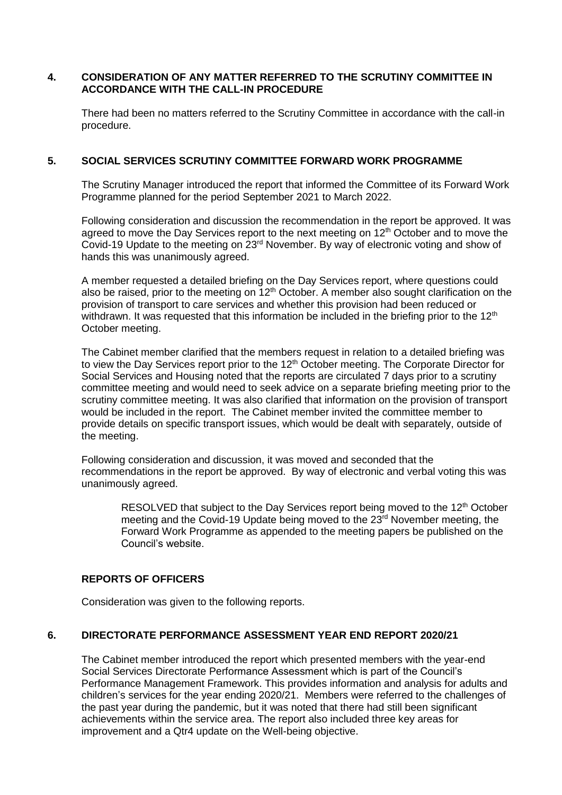#### **4. CONSIDERATION OF ANY MATTER REFERRED TO THE SCRUTINY COMMITTEE IN ACCORDANCE WITH THE CALL-IN PROCEDURE**

There had been no matters referred to the Scrutiny Committee in accordance with the call-in procedure.

#### **5. SOCIAL SERVICES SCRUTINY COMMITTEE FORWARD WORK PROGRAMME**

The Scrutiny Manager introduced the report that informed the Committee of its Forward Work Programme planned for the period September 2021 to March 2022.

Following consideration and discussion the recommendation in the report be approved. It was agreed to move the Day Services report to the next meeting on 12<sup>th</sup> October and to move the Covid-19 Update to the meeting on 23rd November. By way of electronic voting and show of hands this was unanimously agreed.

A member requested a detailed briefing on the Day Services report, where questions could also be raised, prior to the meeting on  $12<sup>th</sup>$  October. A member also sought clarification on the provision of transport to care services and whether this provision had been reduced or withdrawn. It was requested that this information be included in the briefing prior to the  $12<sup>th</sup>$ October meeting.

The Cabinet member clarified that the members request in relation to a detailed briefing was to view the Day Services report prior to the 12<sup>th</sup> October meeting. The Corporate Director for Social Services and Housing noted that the reports are circulated 7 days prior to a scrutiny committee meeting and would need to seek advice on a separate briefing meeting prior to the scrutiny committee meeting. It was also clarified that information on the provision of transport would be included in the report. The Cabinet member invited the committee member to provide details on specific transport issues, which would be dealt with separately, outside of the meeting.

Following consideration and discussion, it was moved and seconded that the recommendations in the report be approved. By way of electronic and verbal voting this was unanimously agreed.

RESOLVED that subject to the Day Services report being moved to the 12<sup>th</sup> October meeting and the Covid-19 Update being moved to the  $23<sup>rd</sup>$  November meeting, the Forward Work Programme as appended to the meeting papers be published on the Council's website.

#### **REPORTS OF OFFICERS**

Consideration was given to the following reports.

#### **6. DIRECTORATE PERFORMANCE ASSESSMENT YEAR END REPORT 2020/21**

The Cabinet member introduced the report which presented members with the year-end Social Services Directorate Performance Assessment which is part of the Council's Performance Management Framework. This provides information and analysis for adults and children's services for the year ending 2020/21. Members were referred to the challenges of the past year during the pandemic, but it was noted that there had still been significant achievements within the service area. The report also included three key areas for improvement and a Qtr4 update on the Well-being objective.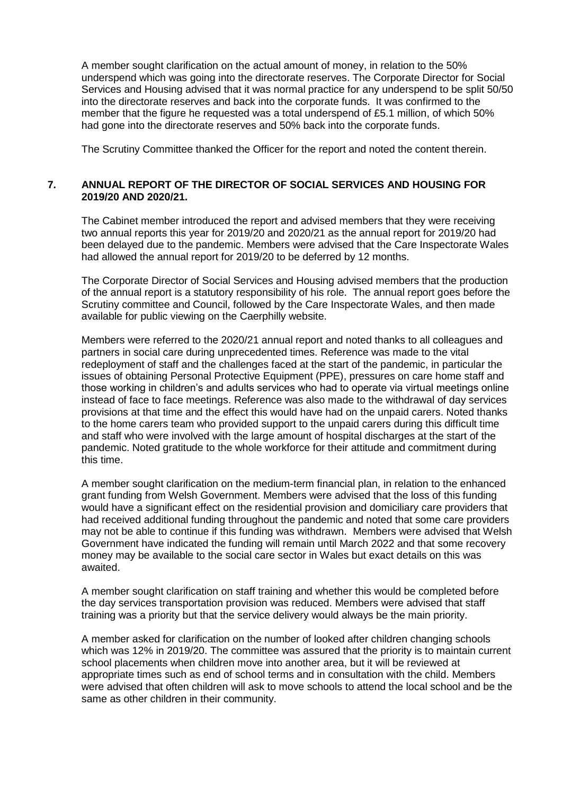A member sought clarification on the actual amount of money, in relation to the 50% underspend which was going into the directorate reserves. The Corporate Director for Social Services and Housing advised that it was normal practice for any underspend to be split 50/50 into the directorate reserves and back into the corporate funds. It was confirmed to the member that the figure he requested was a total underspend of £5.1 million, of which 50% had gone into the directorate reserves and 50% back into the corporate funds.

The Scrutiny Committee thanked the Officer for the report and noted the content therein.

#### **7. ANNUAL REPORT OF THE DIRECTOR OF SOCIAL SERVICES AND HOUSING FOR 2019/20 AND 2020/21.**

The Cabinet member introduced the report and advised members that they were receiving two annual reports this year for 2019/20 and 2020/21 as the annual report for 2019/20 had been delayed due to the pandemic. Members were advised that the Care Inspectorate Wales had allowed the annual report for 2019/20 to be deferred by 12 months.

The Corporate Director of Social Services and Housing advised members that the production of the annual report is a statutory responsibility of his role. The annual report goes before the Scrutiny committee and Council, followed by the Care Inspectorate Wales, and then made available for public viewing on the Caerphilly website.

Members were referred to the 2020/21 annual report and noted thanks to all colleagues and partners in social care during unprecedented times. Reference was made to the vital redeployment of staff and the challenges faced at the start of the pandemic, in particular the issues of obtaining Personal Protective Equipment (PPE), pressures on care home staff and those working in children's and adults services who had to operate via virtual meetings online instead of face to face meetings. Reference was also made to the withdrawal of day services provisions at that time and the effect this would have had on the unpaid carers. Noted thanks to the home carers team who provided support to the unpaid carers during this difficult time and staff who were involved with the large amount of hospital discharges at the start of the pandemic. Noted gratitude to the whole workforce for their attitude and commitment during this time.

A member sought clarification on the medium-term financial plan, in relation to the enhanced grant funding from Welsh Government. Members were advised that the loss of this funding would have a significant effect on the residential provision and domiciliary care providers that had received additional funding throughout the pandemic and noted that some care providers may not be able to continue if this funding was withdrawn. Members were advised that Welsh Government have indicated the funding will remain until March 2022 and that some recovery money may be available to the social care sector in Wales but exact details on this was awaited.

A member sought clarification on staff training and whether this would be completed before the day services transportation provision was reduced. Members were advised that staff training was a priority but that the service delivery would always be the main priority.

A member asked for clarification on the number of looked after children changing schools which was 12% in 2019/20. The committee was assured that the priority is to maintain current school placements when children move into another area, but it will be reviewed at appropriate times such as end of school terms and in consultation with the child. Members were advised that often children will ask to move schools to attend the local school and be the same as other children in their community.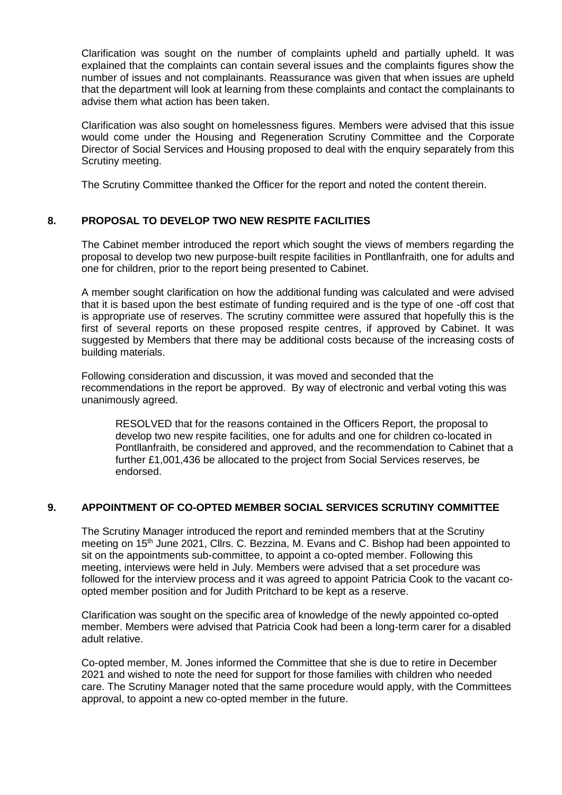Clarification was sought on the number of complaints upheld and partially upheld. It was explained that the complaints can contain several issues and the complaints figures show the number of issues and not complainants. Reassurance was given that when issues are upheld that the department will look at learning from these complaints and contact the complainants to advise them what action has been taken.

Clarification was also sought on homelessness figures. Members were advised that this issue would come under the Housing and Regeneration Scrutiny Committee and the Corporate Director of Social Services and Housing proposed to deal with the enquiry separately from this Scrutiny meeting.

The Scrutiny Committee thanked the Officer for the report and noted the content therein.

## **8. PROPOSAL TO DEVELOP TWO NEW RESPITE FACILITIES**

The Cabinet member introduced the report which sought the views of members regarding the proposal to develop two new purpose-built respite facilities in Pontllanfraith, one for adults and one for children, prior to the report being presented to Cabinet.

A member sought clarification on how the additional funding was calculated and were advised that it is based upon the best estimate of funding required and is the type of one -off cost that is appropriate use of reserves. The scrutiny committee were assured that hopefully this is the first of several reports on these proposed respite centres, if approved by Cabinet. It was suggested by Members that there may be additional costs because of the increasing costs of building materials.

Following consideration and discussion, it was moved and seconded that the recommendations in the report be approved. By way of electronic and verbal voting this was unanimously agreed.

RESOLVED that for the reasons contained in the Officers Report, the proposal to develop two new respite facilities, one for adults and one for children co-located in Pontllanfraith, be considered and approved, and the recommendation to Cabinet that a further £1,001,436 be allocated to the project from Social Services reserves, be endorsed.

#### **9. APPOINTMENT OF CO-OPTED MEMBER SOCIAL SERVICES SCRUTINY COMMITTEE**

The Scrutiny Manager introduced the report and reminded members that at the Scrutiny meeting on 15th June 2021, Cllrs. C. Bezzina, M. Evans and C. Bishop had been appointed to sit on the appointments sub-committee, to appoint a co-opted member. Following this meeting, interviews were held in July. Members were advised that a set procedure was followed for the interview process and it was agreed to appoint Patricia Cook to the vacant coopted member position and for Judith Pritchard to be kept as a reserve.

Clarification was sought on the specific area of knowledge of the newly appointed co-opted member. Members were advised that Patricia Cook had been a long-term carer for a disabled adult relative.

Co-opted member, M. Jones informed the Committee that she is due to retire in December 2021 and wished to note the need for support for those families with children who needed care. The Scrutiny Manager noted that the same procedure would apply, with the Committees approval, to appoint a new co-opted member in the future.